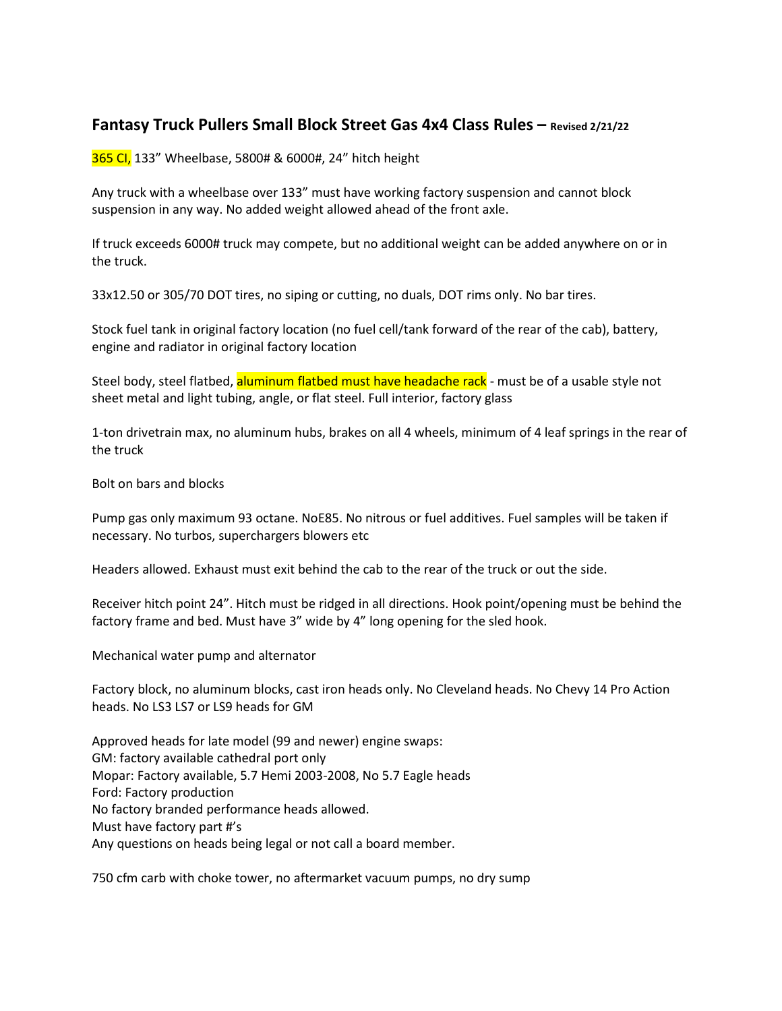## **Fantasy Truck Pullers Small Block Street Gas 4x4 Class Rules – Revised 2/21/22**

365 CI, 133" Wheelbase, 5800# & 6000#, 24" hitch height

Any truck with a wheelbase over 133" must have working factory suspension and cannot block suspension in any way. No added weight allowed ahead of the front axle.

If truck exceeds 6000# truck may compete, but no additional weight can be added anywhere on or in the truck.

33x12.50 or 305/70 DOT tires, no siping or cutting, no duals, DOT rims only. No bar tires.

Stock fuel tank in original factory location (no fuel cell/tank forward of the rear of the cab), battery, engine and radiator in original factory location

Steel body, steel flatbed, aluminum flatbed must have headache rack - must be of a usable style not sheet metal and light tubing, angle, or flat steel. Full interior, factory glass

1-ton drivetrain max, no aluminum hubs, brakes on all 4 wheels, minimum of 4 leaf springs in the rear of the truck

Bolt on bars and blocks

Pump gas only maximum 93 octane. NoE85. No nitrous or fuel additives. Fuel samples will be taken if necessary. No turbos, superchargers blowers etc

Headers allowed. Exhaust must exit behind the cab to the rear of the truck or out the side.

Receiver hitch point 24". Hitch must be ridged in all directions. Hook point/opening must be behind the factory frame and bed. Must have 3" wide by 4" long opening for the sled hook.

Mechanical water pump and alternator

Factory block, no aluminum blocks, cast iron heads only. No Cleveland heads. No Chevy 14 Pro Action heads. No LS3 LS7 or LS9 heads for GM

Approved heads for late model (99 and newer) engine swaps: GM: factory available cathedral port only Mopar: Factory available, 5.7 Hemi 2003-2008, No 5.7 Eagle heads Ford: Factory production No factory branded performance heads allowed. Must have factory part #'s Any questions on heads being legal or not call a board member.

750 cfm carb with choke tower, no aftermarket vacuum pumps, no dry sump